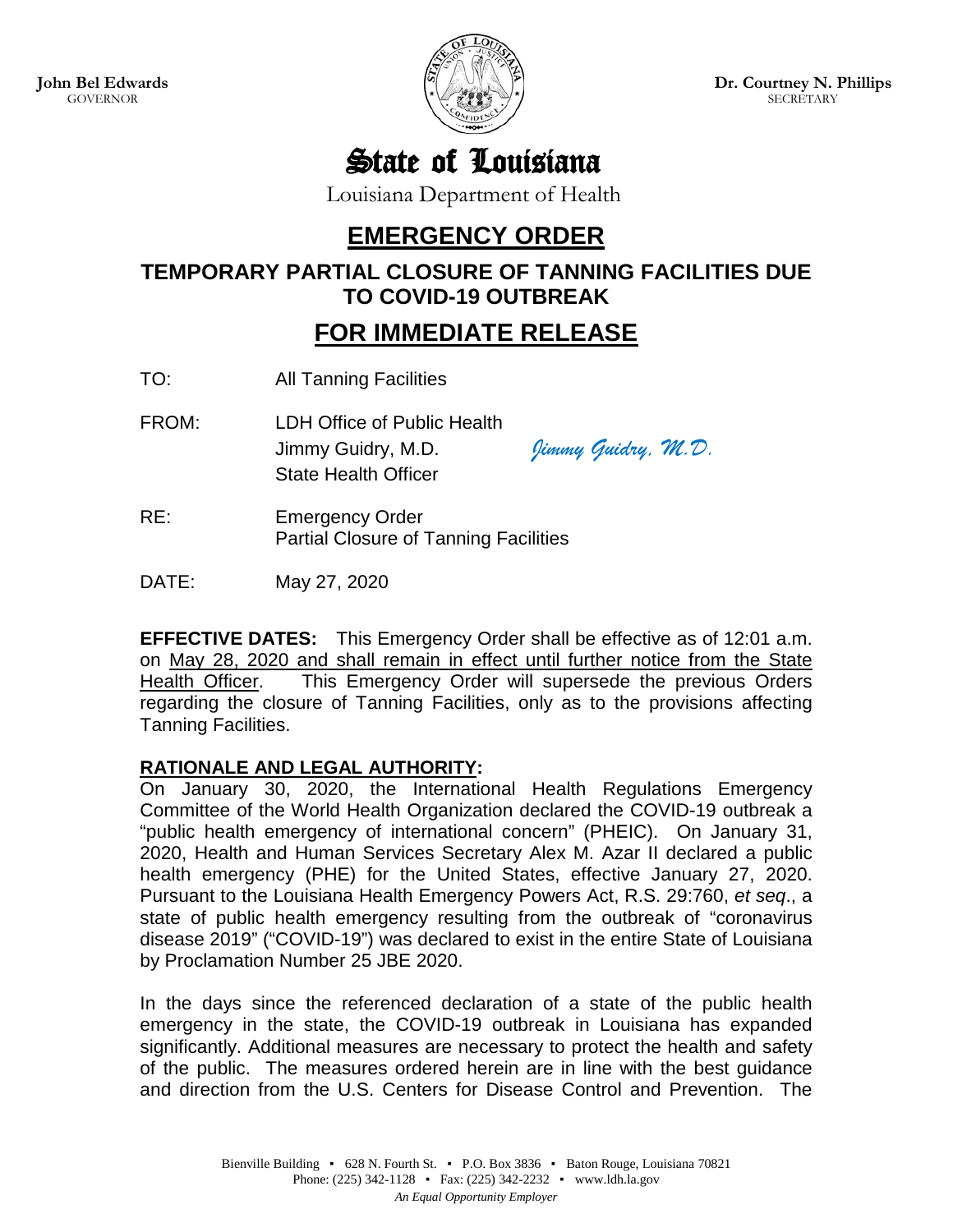

State of Louisiana

Louisiana Department of Health

## **EMERGENCY ORDER**

**TEMPORARY PARTIAL CLOSURE OF TANNING FACILITIES DUE TO COVID-19 OUTBREAK**

## **FOR IMMEDIATE RELEASE**

TO: All Tanning Facilities

FROM: LDH Office of Public Health Jimmy Guidry, M.D. *Jimmy Guidry, M.D.* State Health Officer

RE: Emergency Order Partial Closure of Tanning Facilities

DATE: May 27, 2020

**EFFECTIVE DATES:** This Emergency Order shall be effective as of 12:01 a.m. on May 28, 2020 and shall remain in effect until further notice from the State Health Officer. This Emergency Order will supersede the previous Orders regarding the closure of Tanning Facilities, only as to the provisions affecting Tanning Facilities.

## **RATIONALE AND LEGAL AUTHORITY:**

On January 30, 2020, the International Health Regulations Emergency Committee of the World Health Organization declared the COVID-19 outbreak a "public health emergency of international concern" (PHEIC). On January 31, 2020, Health and Human Services Secretary Alex M. Azar II declared a public health emergency (PHE) for the United States, effective January 27, 2020. Pursuant to the Louisiana Health Emergency Powers Act, R.S. 29:760, *et seq*., a state of public health emergency resulting from the outbreak of "coronavirus disease 2019" ("COVID-19") was declared to exist in the entire State of Louisiana by Proclamation Number 25 JBE 2020.

In the days since the referenced declaration of a state of the public health emergency in the state, the COVID-19 outbreak in Louisiana has expanded significantly. Additional measures are necessary to protect the health and safety of the public. The measures ordered herein are in line with the best guidance and direction from the U.S. Centers for Disease Control and Prevention. The